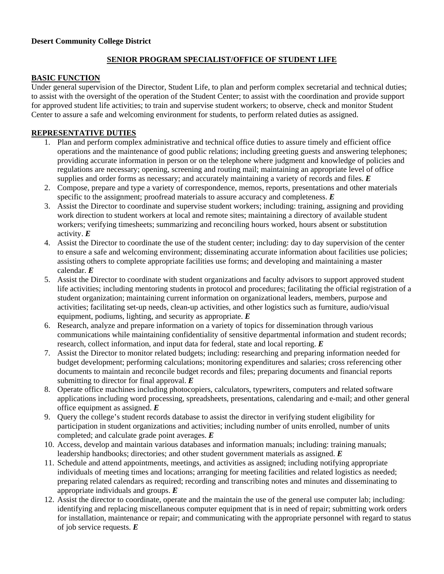### **Desert Community College District**

# **SENIOR PROGRAM SPECIALIST/OFFICE OF STUDENT LIFE**

## **BASIC FUNCTION**

Under general supervision of the Director, Student Life, to plan and perform complex secretarial and technical duties; to assist with the oversight of the operation of the Student Center; to assist with the coordination and provide support for approved student life activities; to train and supervise student workers; to observe, check and monitor Student Center to assure a safe and welcoming environment for students, to perform related duties as assigned.

## **REPRESENTATIVE DUTIES**

- 1. Plan and perform complex administrative and technical office duties to assure timely and efficient office operations and the maintenance of good public relations; including greeting guests and answering telephones; providing accurate information in person or on the telephone where judgment and knowledge of policies and regulations are necessary; opening, screening and routing mail; maintaining an appropriate level of office supplies and order forms as necessary; and accurately maintaining a variety of records and files. *E*
- 2. Compose, prepare and type a variety of correspondence, memos, reports, presentations and other materials specific to the assignment; proofread materials to assure accuracy and completeness. *E*
- 3. Assist the Director to coordinate and supervise student workers; including: training, assigning and providing work direction to student workers at local and remote sites; maintaining a directory of available student workers; verifying timesheets; summarizing and reconciling hours worked, hours absent or substitution activity. *E*
- 4. Assist the Director to coordinate the use of the student center; including: day to day supervision of the center to ensure a safe and welcoming environment; disseminating accurate information about facilities use policies; assisting others to complete appropriate facilities use forms; and developing and maintaining a master calendar. *E*
- 5. Assist the Director to coordinate with student organizations and faculty advisors to support approved student life activities; including mentoring students in protocol and procedures; facilitating the official registration of a student organization; maintaining current information on organizational leaders, members, purpose and activities; facilitating set-up needs, clean-up activities, and other logistics such as furniture, audio/visual equipment, podiums, lighting, and security as appropriate. *E*
- 6. Research, analyze and prepare information on a variety of topics for dissemination through various communications while maintaining confidentiality of sensitive departmental information and student records; research, collect information, and input data for federal, state and local reporting. *E*
- 7. Assist the Director to monitor related budgets; including: researching and preparing information needed for budget development; performing calculations; monitoring expenditures and salaries; cross referencing other documents to maintain and reconcile budget records and files; preparing documents and financial reports submitting to director for final approval. *E*
- 8. Operate office machines including photocopiers, calculators, typewriters, computers and related software applications including word processing, spreadsheets, presentations, calendaring and e-mail; and other general office equipment as assigned. *E*
- 9. Query the college's student records database to assist the director in verifying student eligibility for participation in student organizations and activities; including number of units enrolled, number of units completed; and calculate grade point averages. *E*
- 10. Access, develop and maintain various databases and information manuals; including: training manuals; leadership handbooks; directories; and other student government materials as assigned. *E*
- 11. Schedule and attend appointments, meetings, and activities as assigned; including notifying appropriate individuals of meeting times and locations; arranging for meeting facilities and related logistics as needed; preparing related calendars as required; recording and transcribing notes and minutes and disseminating to appropriate individuals and groups. *E*
- 12. Assist the director to coordinate, operate and the maintain the use of the general use computer lab; including: identifying and replacing miscellaneous computer equipment that is in need of repair; submitting work orders for installation, maintenance or repair; and communicating with the appropriate personnel with regard to status of job service requests. *E*